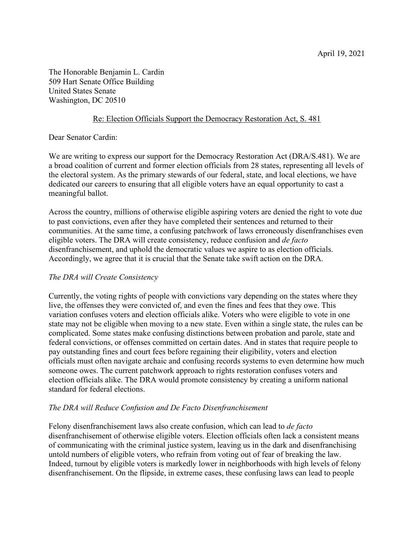The Honorable Benjamin L. Cardin 509 Hart Senate Office Building United States Senate Washington, DC 20510

## Re: Election Officials Support the Democracy Restoration Act, S. 481

Dear Senator Cardin:

We are writing to express our support for the Democracy Restoration Act (DRA/S.481). We are a broad coalition of current and former election officials from 28 states, representing all levels of the electoral system. As the primary stewards of our federal, state, and local elections, we have dedicated our careers to ensuring that all eligible voters have an equal opportunity to cast a meaningful ballot.

Across the country, millions of otherwise eligible aspiring voters are denied the right to vote due to past convictions, even after they have completed their sentences and returned to their communities. At the same time, a confusing patchwork of laws erroneously disenfranchises even eligible voters. The DRA will create consistency, reduce confusion and *de facto*  disenfranchisement, and uphold the democratic values we aspire to as election officials. Accordingly, we agree that it is crucial that the Senate take swift action on the DRA.

## *The DRA will Create Consistency*

Currently, the voting rights of people with convictions vary depending on the states where they live, the offenses they were convicted of, and even the fines and fees that they owe. This variation confuses voters and election officials alike. Voters who were eligible to vote in one state may not be eligible when moving to a new state. Even within a single state, the rules can be complicated. Some states make confusing distinctions between probation and parole, state and federal convictions, or offenses committed on certain dates. And in states that require people to pay outstanding fines and court fees before regaining their eligibility, voters and election officials must often navigate archaic and confusing records systems to even determine how much someone owes. The current patchwork approach to rights restoration confuses voters and election officials alike. The DRA would promote consistency by creating a uniform national standard for federal elections.

## *The DRA will Reduce Confusion and De Facto Disenfranchisement*

Felony disenfranchisement laws also create confusion, which can lead to *de facto*  disenfranchisement of otherwise eligible voters. Election officials often lack a consistent means of communicating with the criminal justice system, leaving us in the dark and disenfranchising untold numbers of eligible voters, who refrain from voting out of fear of breaking the law. Indeed, turnout by eligible voters is markedly lower in neighborhoods with high levels of felony disenfranchisement. On the flipside, in extreme cases, these confusing laws can lead to people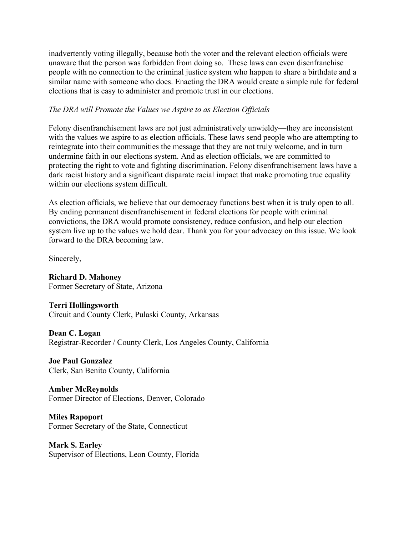inadvertently voting illegally, because both the voter and the relevant election officials were unaware that the person was forbidden from doing so. These laws can even disenfranchise people with no connection to the criminal justice system who happen to share a birthdate and a similar name with someone who does. Enacting the DRA would create a simple rule for federal elections that is easy to administer and promote trust in our elections.

## *The DRA will Promote the Values we Aspire to as Election Officials*

Felony disenfranchisement laws are not just administratively unwieldy—they are inconsistent with the values we aspire to as election officials. These laws send people who are attempting to reintegrate into their communities the message that they are not truly welcome, and in turn undermine faith in our elections system. And as election officials, we are committed to protecting the right to vote and fighting discrimination. Felony disenfranchisement laws have a dark racist history and a significant disparate racial impact that make promoting true equality within our elections system difficult.

As election officials, we believe that our democracy functions best when it is truly open to all. By ending permanent disenfranchisement in federal elections for people with criminal convictions, the DRA would promote consistency, reduce confusion, and help our election system live up to the values we hold dear. Thank you for your advocacy on this issue. We look forward to the DRA becoming law.

Sincerely,

**Richard D. Mahoney** Former Secretary of State, Arizona

**Terri Hollingsworth** Circuit and County Clerk, Pulaski County, Arkansas

**Dean C. Logan** Registrar-Recorder / County Clerk, Los Angeles County, California

**Joe Paul Gonzalez** Clerk, San Benito County, California

**Amber McReynolds** Former Director of Elections, Denver, Colorado

**Miles Rapoport** Former Secretary of the State, Connecticut

**Mark S. Earley** Supervisor of Elections, Leon County, Florida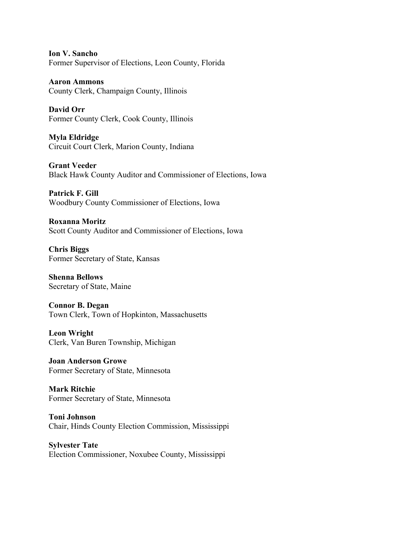**Ion V. Sancho** Former Supervisor of Elections, Leon County, Florida

**Aaron Ammons** County Clerk, Champaign County, Illinois

**David Orr** Former County Clerk, Cook County, Illinois

**Myla Eldridge** Circuit Court Clerk, Marion County, Indiana

**Grant Veeder** Black Hawk County Auditor and Commissioner of Elections, Iowa

**Patrick F. Gill** Woodbury County Commissioner of Elections, Iowa

**Roxanna Moritz** Scott County Auditor and Commissioner of Elections, Iowa

**Chris Biggs** Former Secretary of State, Kansas

**Shenna Bellows** Secretary of State, Maine

**Connor B. Degan** Town Clerk, Town of Hopkinton, Massachusetts

**Leon Wright** Clerk, Van Buren Township, Michigan

**Joan Anderson Growe** Former Secretary of State, Minnesota

**Mark Ritchie** Former Secretary of State, Minnesota

**Toni Johnson** Chair, Hinds County Election Commission, Mississippi

**Sylvester Tate** Election Commissioner, Noxubee County, Mississippi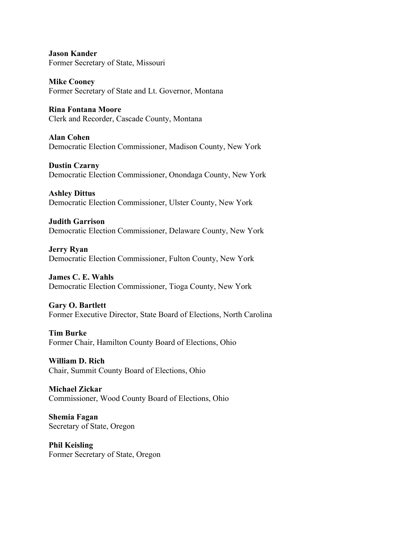**Jason Kander** Former Secretary of State, Missouri

**Mike Cooney** Former Secretary of State and Lt. Governor, Montana

**Rina Fontana Moore** Clerk and Recorder, Cascade County, Montana

**Alan Cohen** Democratic Election Commissioner, Madison County, New York

**Dustin Czarny** Democratic Election Commissioner, Onondaga County, New York

**Ashley Dittus** Democratic Election Commissioner, Ulster County, New York

**Judith Garrison** Democratic Election Commissioner, Delaware County, New York

**Jerry Ryan** Democratic Election Commissioner, Fulton County, New York

**James C. E. Wahls** Democratic Election Commissioner, Tioga County, New York

**Gary O. Bartlett** Former Executive Director, State Board of Elections, North Carolina

**Tim Burke** Former Chair, Hamilton County Board of Elections, Ohio

**William D. Rich** Chair, Summit County Board of Elections, Ohio

**Michael Zickar** Commissioner, Wood County Board of Elections, Ohio

**Shemia Fagan** Secretary of State, Oregon

**Phil Keisling** Former Secretary of State, Oregon